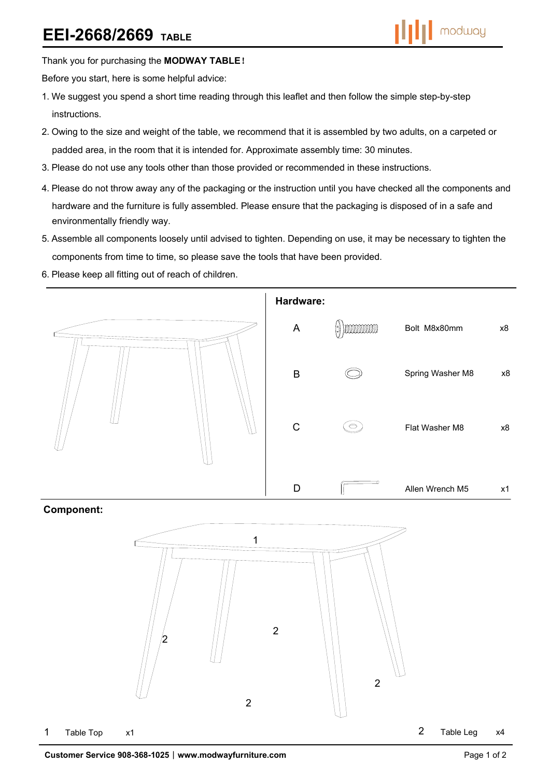Thank you for purchasing the **MODWAY TABLE**!

Before you start, here is some helpful advice:

- 1.We suggest you spend a short time reading through this leaflet and then follow the simple step-by-step instructions.
- 2.Owing to the size and weight of the table, we recommend that it is assembled by two adults, on a carpeted or padded area, in the room that it is intended for. Approximate assembly time: 30 minutes.
- 3.Please do not use any tools other than those provided or recommended in these instructions.
- 4.Please do not throw away any of the packaging or the instruction until you have checked all the components and hardware and the furniture is fully assembled. Please ensure that the packaging is disposed of in a safe and environmentally friendly way.
- 5.Assemble all components loosely until advised to tighten. Depending on use, it may be necessary to tighten the components from time to time, so please save the tools that have been provided.
- 6.Please keep all fitting out of reach of children.